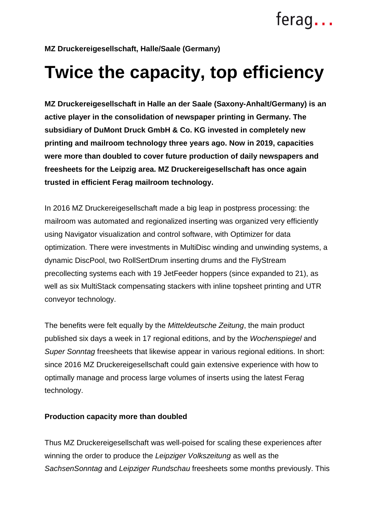## **MZ Druckereigesellschaft, Halle/Saale (Germany)**

# **Twice the capacity, top efficiency**

**MZ Druckereigesellschaft in Halle an der Saale (Saxony-Anhalt/Germany) is an active player in the consolidation of newspaper printing in Germany. The subsidiary of DuMont Druck GmbH & Co. KG invested in completely new printing and mailroom technology three years ago. Now in 2019, capacities were more than doubled to cover future production of daily newspapers and freesheets for the Leipzig area. MZ Druckereigesellschaft has once again trusted in efficient Ferag mailroom technology.** 

In 2016 MZ Druckereigesellschaft made a big leap in postpress processing: the mailroom was automated and regionalized inserting was organized very efficiently using Navigator visualization and control software, with Optimizer for data optimization. There were investments in MultiDisc winding and unwinding systems, a dynamic DiscPool, two RollSertDrum inserting drums and the FlyStream precollecting systems each with 19 JetFeeder hoppers (since expanded to 21), as well as six MultiStack compensating stackers with inline topsheet printing and UTR conveyor technology.

The benefits were felt equally by the Mitteldeutsche Zeitung, the main product published six days a week in 17 regional editions, and by the Wochenspiegel and Super Sonntag freesheets that likewise appear in various regional editions. In short: since 2016 MZ Druckereigesellschaft could gain extensive experience with how to optimally manage and process large volumes of inserts using the latest Ferag technology.

### **Production capacity more than doubled**

Thus MZ Druckereigesellschaft was well-poised for scaling these experiences after winning the order to produce the Leipziger Volkszeitung as well as the SachsenSonntag and Leipziger Rundschau freesheets some months previously. This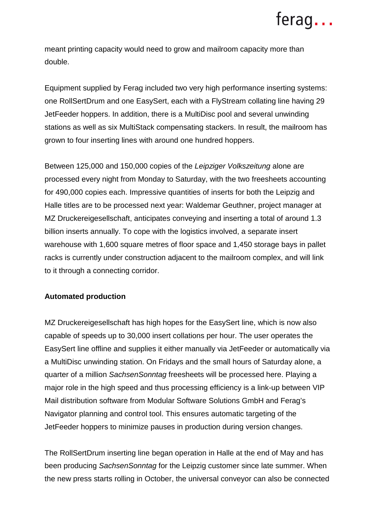# ferag...

meant printing capacity would need to grow and mailroom capacity more than double.

Equipment supplied by Ferag included two very high performance inserting systems: one RollSertDrum and one EasySert, each with a FlyStream collating line having 29 JetFeeder hoppers. In addition, there is a MultiDisc pool and several unwinding stations as well as six MultiStack compensating stackers. In result, the mailroom has grown to four inserting lines with around one hundred hoppers.

Between 125,000 and 150,000 copies of the Leipziger Volkszeitung alone are processed every night from Monday to Saturday, with the two freesheets accounting for 490,000 copies each. Impressive quantities of inserts for both the Leipzig and Halle titles are to be processed next year: Waldemar Geuthner, project manager at MZ Druckereigesellschaft, anticipates conveying and inserting a total of around 1.3 billion inserts annually. To cope with the logistics involved, a separate insert warehouse with 1,600 square metres of floor space and 1,450 storage bays in pallet racks is currently under construction adjacent to the mailroom complex, and will link to it through a connecting corridor.

### **Automated production**

MZ Druckereigesellschaft has high hopes for the EasySert line, which is now also capable of speeds up to 30,000 insert collations per hour. The user operates the EasySert line offline and supplies it either manually via JetFeeder or automatically via a MultiDisc unwinding station. On Fridays and the small hours of Saturday alone, a quarter of a million SachsenSonntag freesheets will be processed here. Playing a major role in the high speed and thus processing efficiency is a link-up between VIP Mail distribution software from Modular Software Solutions GmbH and Ferag's Navigator planning and control tool. This ensures automatic targeting of the JetFeeder hoppers to minimize pauses in production during version changes.

The RollSertDrum inserting line began operation in Halle at the end of May and has been producing SachsenSonntag for the Leipzig customer since late summer. When the new press starts rolling in October, the universal conveyor can also be connected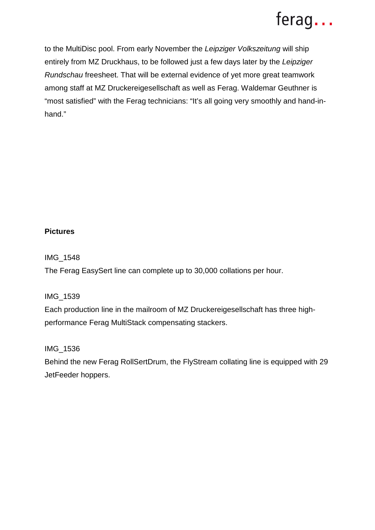## ferag...

to the MultiDisc pool. From early November the Leipziger Volkszeitung will ship entirely from MZ Druckhaus, to be followed just a few days later by the Leipziger Rundschau freesheet. That will be external evidence of yet more great teamwork among staff at MZ Druckereigesellschaft as well as Ferag. Waldemar Geuthner is "most satisfied" with the Ferag technicians: "It's all going very smoothly and hand-inhand."

## **Pictures**

IMG\_1548

The Ferag EasySert line can complete up to 30,000 collations per hour.

IMG\_1539

Each production line in the mailroom of MZ Druckereigesellschaft has three highperformance Ferag MultiStack compensating stackers.

IMG\_1536

Behind the new Ferag RollSertDrum, the FlyStream collating line is equipped with 29 JetFeeder hoppers.